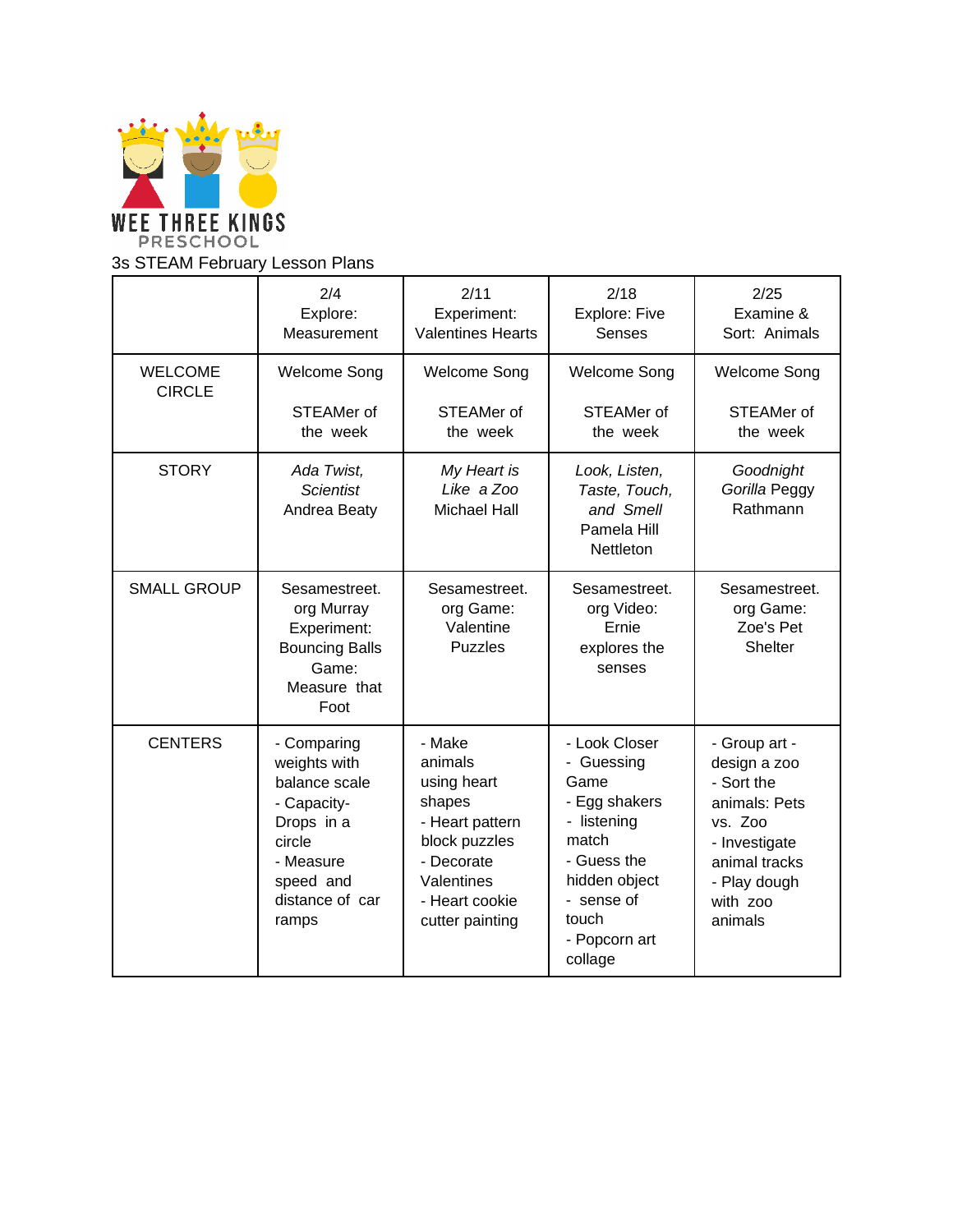

## 3s STEAM February Lesson Plans

|                                 | 2/4<br>Explore:<br>Measurement                                                                                                            | 2/11<br>Experiment:<br><b>Valentines Hearts</b>                                                                                                 | 2/18<br>Explore: Five<br><b>Senses</b>                                                                                                                          | 2/25<br>Examine &<br>Sort: Animals                                                                                                               |
|---------------------------------|-------------------------------------------------------------------------------------------------------------------------------------------|-------------------------------------------------------------------------------------------------------------------------------------------------|-----------------------------------------------------------------------------------------------------------------------------------------------------------------|--------------------------------------------------------------------------------------------------------------------------------------------------|
| <b>WELCOME</b><br><b>CIRCLE</b> | <b>Welcome Song</b><br>STEAMer of<br>the week                                                                                             | <b>Welcome Song</b><br><b>STEAMer of</b><br>the week                                                                                            | <b>Welcome Song</b><br>STEAMer of<br>the week                                                                                                                   | <b>Welcome Song</b><br>STEAMer of<br>the week                                                                                                    |
| <b>STORY</b>                    | Ada Twist,<br><b>Scientist</b><br>Andrea Beaty                                                                                            | My Heart is<br>Like a Zoo<br><b>Michael Hall</b>                                                                                                | Look, Listen,<br>Taste, Touch,<br>and Smell<br>Pamela Hill<br>Nettleton                                                                                         | Goodnight<br>Gorilla Peggy<br>Rathmann                                                                                                           |
| <b>SMALL GROUP</b>              | Sesamestreet.<br>org Murray<br>Experiment:<br><b>Bouncing Balls</b><br>Game:<br>Measure that<br>Foot                                      | Sesamestreet.<br>org Game:<br>Valentine<br><b>Puzzles</b>                                                                                       | Sesamestreet.<br>org Video:<br>Ernie<br>explores the<br>senses                                                                                                  | Sesamestreet.<br>org Game:<br>Zoe's Pet<br>Shelter                                                                                               |
| <b>CENTERS</b>                  | - Comparing<br>weights with<br>balance scale<br>- Capacity-<br>Drops in a<br>circle<br>- Measure<br>speed and<br>distance of car<br>ramps | - Make<br>animals<br>using heart<br>shapes<br>- Heart pattern<br>block puzzles<br>- Decorate<br>Valentines<br>- Heart cookie<br>cutter painting | - Look Closer<br>- Guessing<br>Game<br>- Egg shakers<br>- listening<br>match<br>- Guess the<br>hidden object<br>- sense of<br>touch<br>- Popcorn art<br>collage | - Group art -<br>design a zoo<br>- Sort the<br>animals: Pets<br>vs. Zoo<br>- Investigate<br>animal tracks<br>- Play dough<br>with zoo<br>animals |